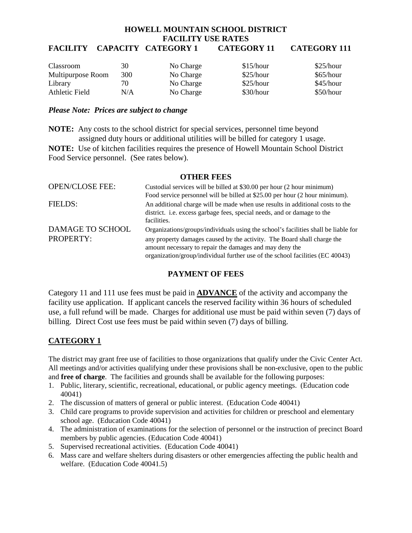# **HOWELL MOUNTAIN SCHOOL DISTRICT FACILITY USE RATES**

# **FACILITY CAPACITY CATEGORY 1 CATEGORY 11 CATEGORY 111**

| Classroom         | 30  | No Charge | \$15/hour | \$25/hour |
|-------------------|-----|-----------|-----------|-----------|
| Multipurpose Room | 300 | No Charge | \$25/hour | \$65/hour |
| Library           | 70  | No Charge | \$25/hour | \$45/hour |
| Athletic Field    | N/A | No Charge | \$30/hour | \$50/hour |

#### *Please Note: Prices are subject to change*

**NOTE:** Any costs to the school district for special services, personnel time beyond assigned duty hours or additional utilities will be billed for category 1 usage.

**NOTE:** Use of kitchen facilities requires the presence of Howell Mountain School District Food Service personnel. (See rates below).

#### **OTHER FEES**

| <b>OPEN/CLOSE FEE:</b> | Custodial services will be billed at \$30.00 per hour (2 hour minimum)             |
|------------------------|------------------------------------------------------------------------------------|
|                        | Food service personnel will be billed at \$25.00 per hour (2 hour minimum).        |
| <b>FIELDS:</b>         | An additional charge will be made when use results in additional costs to the      |
|                        | district. i.e. excess garbage fees, special needs, and or damage to the            |
|                        | facilities.                                                                        |
| DAMAGE TO SCHOOL       | Organizations/groups/individuals using the school's facilities shall be liable for |
| <b>PROPERTY:</b>       | any property damages caused by the activity. The Board shall charge the            |
|                        | amount necessary to repair the damages and may deny the                            |
|                        | organization/group/individual further use of the school facilities (EC 40043)      |

## **PAYMENT OF FEES**

Category 11 and 111 use fees must be paid in **ADVANCE** of the activity and accompany the facility use application. If applicant cancels the reserved facility within 36 hours of scheduled use, a full refund will be made. Charges for additional use must be paid within seven (7) days of billing. Direct Cost use fees must be paid within seven (7) days of billing.

# **CATEGORY 1**

The district may grant free use of facilities to those organizations that qualify under the Civic Center Act. All meetings and/or activities qualifying under these provisions shall be non-exclusive, open to the public and **free of charge**. The facilities and grounds shall be available for the following purposes:

- 1. Public, literary, scientific, recreational, educational, or public agency meetings. (Education code 40041)
- 2. The discussion of matters of general or public interest. (Education Code 40041)
- 3. Child care programs to provide supervision and activities for children or preschool and elementary school age. (Education Code 40041)
- 4. The administration of examinations for the selection of personnel or the instruction of precinct Board members by public agencies. (Education Code 40041)
- 5. Supervised recreational activities. (Education Code 40041)
- 6. Mass care and welfare shelters during disasters or other emergencies affecting the public health and welfare. (Education Code 40041.5)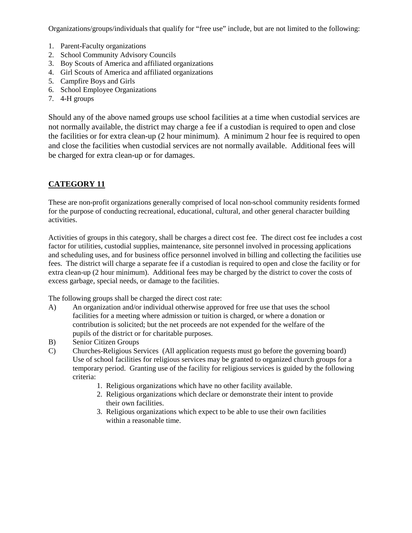Organizations/groups/individuals that qualify for "free use" include, but are not limited to the following:

- 1. Parent-Faculty organizations
- 2. School Community Advisory Councils
- 3. Boy Scouts of America and affiliated organizations
- 4. Girl Scouts of America and affiliated organizations
- 5. Campfire Boys and Girls
- 6. School Employee Organizations
- 7. 4-H groups

Should any of the above named groups use school facilities at a time when custodial services are not normally available, the district may charge a fee if a custodian is required to open and close the facilities or for extra clean-up (2 hour minimum). A minimum 2 hour fee is required to open and close the facilities when custodial services are not normally available. Additional fees will be charged for extra clean-up or for damages.

# **CATEGORY 11**

These are non-profit organizations generally comprised of local non-school community residents formed for the purpose of conducting recreational, educational, cultural, and other general character building activities.

Activities of groups in this category, shall be charges a direct cost fee. The direct cost fee includes a cost factor for utilities, custodial supplies, maintenance, site personnel involved in processing applications and scheduling uses, and for business office personnel involved in billing and collecting the facilities use fees. The district will charge a separate fee if a custodian is required to open and close the facility or for extra clean-up (2 hour minimum). Additional fees may be charged by the district to cover the costs of excess garbage, special needs, or damage to the facilities.

The following groups shall be charged the direct cost rate:

- A) An organization and/or individual otherwise approved for free use that uses the school facilities for a meeting where admission or tuition is charged, or where a donation or contribution is solicited; but the net proceeds are not expended for the welfare of the pupils of the district or for charitable purposes.
- B) Senior Citizen Groups
- C) Churches-Religious Services (All application requests must go before the governing board) Use of school facilities for religious services may be granted to organized church groups for a temporary period. Granting use of the facility for religious services is guided by the following criteria:
	- 1. Religious organizations which have no other facility available.
	- 2. Religious organizations which declare or demonstrate their intent to provide their own facilities.
	- 3. Religious organizations which expect to be able to use their own facilities within a reasonable time.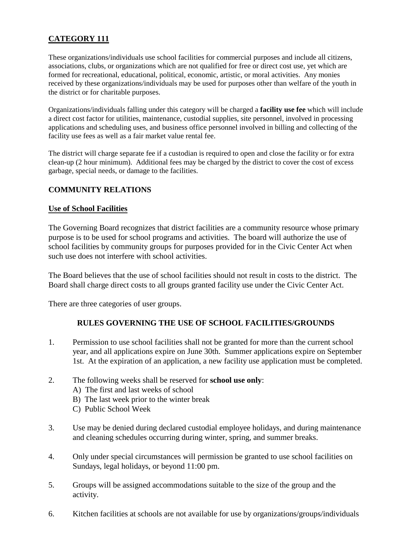# **CATEGORY 111**

These organizations/individuals use school facilities for commercial purposes and include all citizens, associations, clubs, or organizations which are not qualified for free or direct cost use, yet which are formed for recreational, educational, political, economic, artistic, or moral activities. Any monies received by these organizations/individuals may be used for purposes other than welfare of the youth in the district or for charitable purposes.

Organizations/individuals falling under this category will be charged a **facility use fee** which will include a direct cost factor for utilities, maintenance, custodial supplies, site personnel, involved in processing applications and scheduling uses, and business office personnel involved in billing and collecting of the facility use fees as well as a fair market value rental fee.

The district will charge separate fee if a custodian is required to open and close the facility or for extra clean-up (2 hour minimum). Additional fees may be charged by the district to cover the cost of excess garbage, special needs, or damage to the facilities.

### **COMMUNITY RELATIONS**

### **Use of School Facilities**

The Governing Board recognizes that district facilities are a community resource whose primary purpose is to be used for school programs and activities. The board will authorize the use of school facilities by community groups for purposes provided for in the Civic Center Act when such use does not interfere with school activities.

The Board believes that the use of school facilities should not result in costs to the district. The Board shall charge direct costs to all groups granted facility use under the Civic Center Act.

There are three categories of user groups.

### **RULES GOVERNING THE USE OF SCHOOL FACILITIES/GROUNDS**

- 1. Permission to use school facilities shall not be granted for more than the current school year, and all applications expire on June 30th. Summer applications expire on September 1st. At the expiration of an application, a new facility use application must be completed.
- 2. The following weeks shall be reserved for **school use only**:
	- A) The first and last weeks of school
	- B) The last week prior to the winter break
	- C) Public School Week
- 3. Use may be denied during declared custodial employee holidays, and during maintenance and cleaning schedules occurring during winter, spring, and summer breaks.
- 4. Only under special circumstances will permission be granted to use school facilities on Sundays, legal holidays, or beyond 11:00 pm.
- 5. Groups will be assigned accommodations suitable to the size of the group and the activity.
- 6. Kitchen facilities at schools are not available for use by organizations/groups/individuals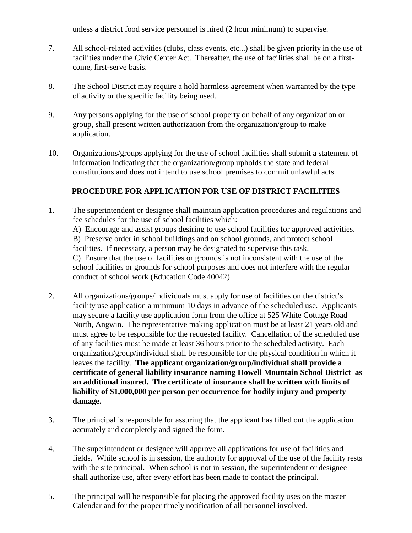unless a district food service personnel is hired (2 hour minimum) to supervise.

- 7. All school-related activities (clubs, class events, etc...) shall be given priority in the use of facilities under the Civic Center Act. Thereafter, the use of facilities shall be on a firstcome, first-serve basis.
- 8. The School District may require a hold harmless agreement when warranted by the type of activity or the specific facility being used.
- 9. Any persons applying for the use of school property on behalf of any organization or group, shall present written authorization from the organization/group to make application.
- 10. Organizations/groups applying for the use of school facilities shall submit a statement of information indicating that the organization/group upholds the state and federal constitutions and does not intend to use school premises to commit unlawful acts.

## **PROCEDURE FOR APPLICATION FOR USE OF DISTRICT FACILITIES**

- 1. The superintendent or designee shall maintain application procedures and regulations and fee schedules for the use of school facilities which: A) Encourage and assist groups desiring to use school facilities for approved activities. B) Preserve order in school buildings and on school grounds, and protect school facilities. If necessary, a person may be designated to supervise this task. C) Ensure that the use of facilities or grounds is not inconsistent with the use of the school facilities or grounds for school purposes and does not interfere with the regular conduct of school work (Education Code 40042).
- 2. All organizations/groups/individuals must apply for use of facilities on the district's facility use application a minimum 10 days in advance of the scheduled use. Applicants may secure a facility use application form from the office at 525 White Cottage Road North, Angwin. The representative making application must be at least 21 years old and must agree to be responsible for the requested facility. Cancellation of the scheduled use of any facilities must be made at least 36 hours prior to the scheduled activity. Each organization/group/individual shall be responsible for the physical condition in which it leaves the facility. **The applicant organization/group/individual shall provide a certificate of general liability insurance naming Howell Mountain School District as an additional insured. The certificate of insurance shall be written with limits of liability of \$1,000,000 per person per occurrence for bodily injury and property damage.**
- 3. The principal is responsible for assuring that the applicant has filled out the application accurately and completely and signed the form.
- 4. The superintendent or designee will approve all applications for use of facilities and fields. While school is in session, the authority for approval of the use of the facility rests with the site principal. When school is not in session, the superintendent or designee shall authorize use, after every effort has been made to contact the principal.
- 5. The principal will be responsible for placing the approved facility uses on the master Calendar and for the proper timely notification of all personnel involved.